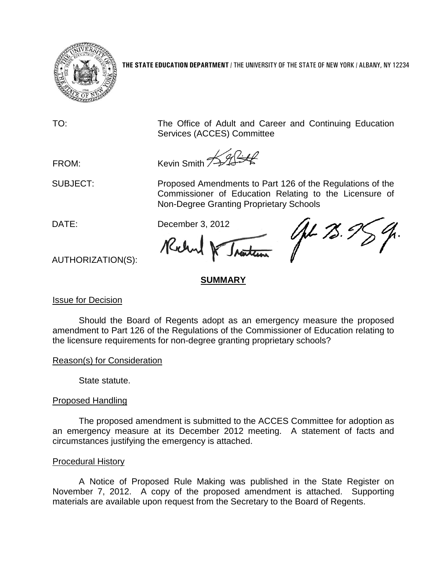

**THE STATE EDUCATION DEPARTMENT** / THE UNIVERSITY OF THE STATE OF NEW YORK / ALBANY, NY 12234

TO: The Office of Adult and Career and Continuing Education Services (ACCES) Committee

FROM: Kevin Smith  $\mathscr{H}$ 

SUBJECT: Proposed Amendments to Part 126 of the Regulations of the Commissioner of Education Relating to the Licensure of Non-Degree Granting Proprietary Schools

DATE: December 3, 2012

Kilm

AL 75.9

AUTHORIZATION(S):

## **SUMMARY**

Issue for Decision

Should the Board of Regents adopt as an emergency measure the proposed amendment to Part 126 of the Regulations of the Commissioner of Education relating to the licensure requirements for non-degree granting proprietary schools?

Reason(s) for Consideration

State statute.

## Proposed Handling

The proposed amendment is submitted to the ACCES Committee for adoption as an emergency measure at its December 2012 meeting. A statement of facts and circumstances justifying the emergency is attached.

## Procedural History

A Notice of Proposed Rule Making was published in the State Register on November 7, 2012. A copy of the proposed amendment is attached. Supporting materials are available upon request from the Secretary to the Board of Regents.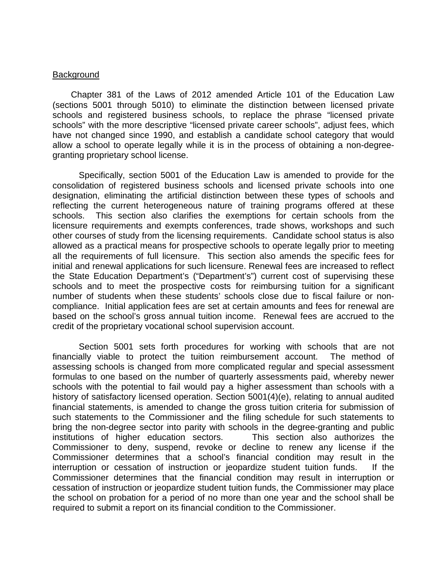#### **Background**

Chapter 381 of the Laws of 2012 amended Article 101 of the Education Law (sections 5001 through 5010) to eliminate the distinction between licensed private schools and registered business schools, to replace the phrase "licensed private schools" with the more descriptive "licensed private career schools", adjust fees, which have not changed since 1990, and establish a candidate school category that would allow a school to operate legally while it is in the process of obtaining a non-degreegranting proprietary school license.

Specifically, section 5001 of the Education Law is amended to provide for the consolidation of registered business schools and licensed private schools into one designation, eliminating the artificial distinction between these types of schools and reflecting the current heterogeneous nature of training programs offered at these schools. This section also clarifies the exemptions for certain schools from the licensure requirements and exempts conferences, trade shows, workshops and such other courses of study from the licensing requirements. Candidate school status is also allowed as a practical means for prospective schools to operate legally prior to meeting all the requirements of full licensure. This section also amends the specific fees for initial and renewal applications for such licensure. Renewal fees are increased to reflect the State Education Department's ("Department's") current cost of supervising these schools and to meet the prospective costs for reimbursing tuition for a significant number of students when these students' schools close due to fiscal failure or noncompliance. Initial application fees are set at certain amounts and fees for renewal are based on the school's gross annual tuition income. Renewal fees are accrued to the credit of the proprietary vocational school supervision account.

Section 5001 sets forth procedures for working with schools that are not financially viable to protect the tuition reimbursement account. The method of assessing schools is changed from more complicated regular and special assessment formulas to one based on the number of quarterly assessments paid, whereby newer schools with the potential to fail would pay a higher assessment than schools with a history of satisfactory licensed operation. Section 5001(4)(e), relating to annual audited financial statements, is amended to change the gross tuition criteria for submission of such statements to the Commissioner and the filing schedule for such statements to bring the non-degree sector into parity with schools in the degree-granting and public institutions of higher education sectors. This section also authorizes the Commissioner to deny, suspend, revoke or decline to renew any license if the Commissioner determines that a school's financial condition may result in the interruption or cessation of instruction or jeopardize student tuition funds. If the Commissioner determines that the financial condition may result in interruption or cessation of instruction or jeopardize student tuition funds, the Commissioner may place the school on probation for a period of no more than one year and the school shall be required to submit a report on its financial condition to the Commissioner.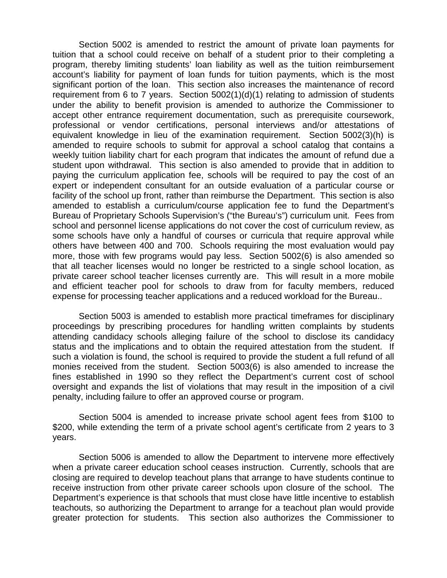Section 5002 is amended to restrict the amount of private loan payments for tuition that a school could receive on behalf of a student prior to their completing a program, thereby limiting students' loan liability as well as the tuition reimbursement account's liability for payment of loan funds for tuition payments, which is the most significant portion of the loan. This section also increases the maintenance of record requirement from 6 to 7 years. Section 5002(1)(d)(1) relating to admission of students under the ability to benefit provision is amended to authorize the Commissioner to accept other entrance requirement documentation, such as prerequisite coursework, professional or vendor certifications, personal interviews and/or attestations of equivalent knowledge in lieu of the examination requirement. Section 5002(3)(h) is amended to require schools to submit for approval a school catalog that contains a weekly tuition liability chart for each program that indicates the amount of refund due a student upon withdrawal. This section is also amended to provide that in addition to paying the curriculum application fee, schools will be required to pay the cost of an expert or independent consultant for an outside evaluation of a particular course or facility of the school up front, rather than reimburse the Department. This section is also amended to establish a curriculum/course application fee to fund the Department's Bureau of Proprietary Schools Supervision's ("the Bureau's") curriculum unit. Fees from school and personnel license applications do not cover the cost of curriculum review, as some schools have only a handful of courses or curricula that require approval while others have between 400 and 700. Schools requiring the most evaluation would pay more, those with few programs would pay less. Section 5002(6) is also amended so that all teacher licenses would no longer be restricted to a single school location, as private career school teacher licenses currently are. This will result in a more mobile and efficient teacher pool for schools to draw from for faculty members, reduced expense for processing teacher applications and a reduced workload for the Bureau..

Section 5003 is amended to establish more practical timeframes for disciplinary proceedings by prescribing procedures for handling written complaints by students attending candidacy schools alleging failure of the school to disclose its candidacy status and the implications and to obtain the required attestation from the student. If such a violation is found, the school is required to provide the student a full refund of all monies received from the student. Section 5003(6) is also amended to increase the fines established in 1990 so they reflect the Department's current cost of school oversight and expands the list of violations that may result in the imposition of a civil penalty, including failure to offer an approved course or program.

Section 5004 is amended to increase private school agent fees from \$100 to \$200, while extending the term of a private school agent's certificate from 2 years to 3 years.

Section 5006 is amended to allow the Department to intervene more effectively when a private career education school ceases instruction. Currently, schools that are closing are required to develop teachout plans that arrange to have students continue to receive instruction from other private career schools upon closure of the school. The Department's experience is that schools that must close have little incentive to establish teachouts, so authorizing the Department to arrange for a teachout plan would provide greater protection for students. This section also authorizes the Commissioner to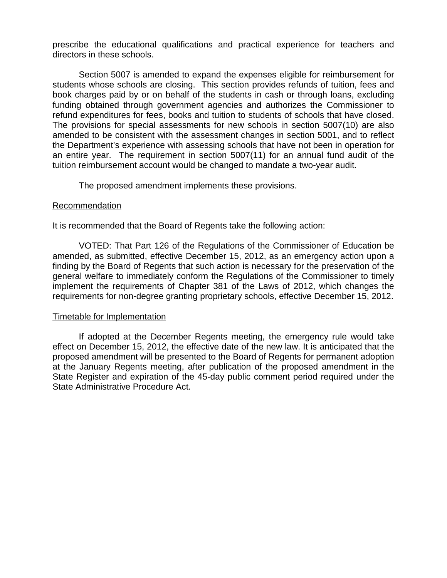prescribe the educational qualifications and practical experience for teachers and directors in these schools.

Section 5007 is amended to expand the expenses eligible for reimbursement for students whose schools are closing. This section provides refunds of tuition, fees and book charges paid by or on behalf of the students in cash or through loans, excluding funding obtained through government agencies and authorizes the Commissioner to refund expenditures for fees, books and tuition to students of schools that have closed. The provisions for special assessments for new schools in section 5007(10) are also amended to be consistent with the assessment changes in section 5001, and to reflect the Department's experience with assessing schools that have not been in operation for an entire year. The requirement in section 5007(11) for an annual fund audit of the tuition reimbursement account would be changed to mandate a two-year audit.

The proposed amendment implements these provisions.

#### Recommendation

It is recommended that the Board of Regents take the following action:

VOTED: That Part 126 of the Regulations of the Commissioner of Education be amended, as submitted, effective December 15, 2012, as an emergency action upon a finding by the Board of Regents that such action is necessary for the preservation of the general welfare to immediately conform the Regulations of the Commissioner to timely implement the requirements of Chapter 381 of the Laws of 2012, which changes the requirements for non-degree granting proprietary schools, effective December 15, 2012.

#### Timetable for Implementation

If adopted at the December Regents meeting, the emergency rule would take effect on December 15, 2012, the effective date of the new law. It is anticipated that the proposed amendment will be presented to the Board of Regents for permanent adoption at the January Regents meeting, after publication of the proposed amendment in the State Register and expiration of the 45-day public comment period required under the State Administrative Procedure Act.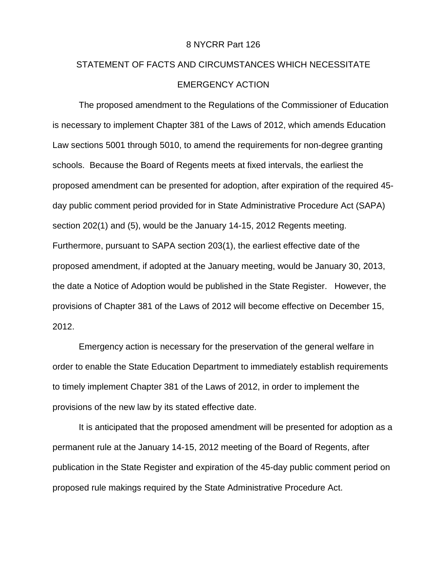#### 8 NYCRR Part 126

# STATEMENT OF FACTS AND CIRCUMSTANCES WHICH NECESSITATE EMERGENCY ACTION

The proposed amendment to the Regulations of the Commissioner of Education is necessary to implement Chapter 381 of the Laws of 2012, which amends Education Law sections 5001 through 5010, to amend the requirements for non-degree granting schools. Because the Board of Regents meets at fixed intervals, the earliest the proposed amendment can be presented for adoption, after expiration of the required 45 day public comment period provided for in State Administrative Procedure Act (SAPA) section 202(1) and (5), would be the January 14-15, 2012 Regents meeting. Furthermore, pursuant to SAPA section 203(1), the earliest effective date of the proposed amendment, if adopted at the January meeting, would be January 30, 2013, the date a Notice of Adoption would be published in the State Register. However, the provisions of Chapter 381 of the Laws of 2012 will become effective on December 15, 2012.

Emergency action is necessary for the preservation of the general welfare in order to enable the State Education Department to immediately establish requirements to timely implement Chapter 381 of the Laws of 2012, in order to implement the provisions of the new law by its stated effective date.

It is anticipated that the proposed amendment will be presented for adoption as a permanent rule at the January 14-15, 2012 meeting of the Board of Regents, after publication in the State Register and expiration of the 45-day public comment period on proposed rule makings required by the State Administrative Procedure Act.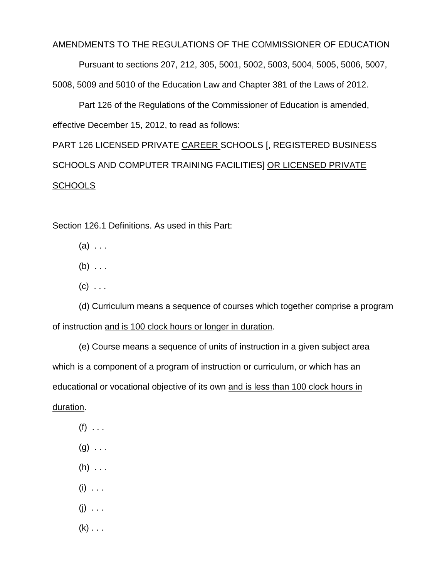#### AMENDMENTS TO THE REGULATIONS OF THE COMMISSIONER OF EDUCATION

Pursuant to sections 207, 212, 305, 5001, 5002, 5003, 5004, 5005, 5006, 5007,

5008, 5009 and 5010 of the Education Law and Chapter 381 of the Laws of 2012.

Part 126 of the Regulations of the Commissioner of Education is amended, effective December 15, 2012, to read as follows:

PART 126 LICENSED PRIVATE CAREER SCHOOLS [, REGISTERED BUSINESS SCHOOLS AND COMPUTER TRAINING FACILITIES] OR LICENSED PRIVATE **SCHOOLS** 

Section 126.1 Definitions. As used in this Part:

- $(a) \ldots$
- $(b) \ldots$
- $(c)$  . . .

(d) Curriculum means a sequence of courses which together comprise a program of instruction and is 100 clock hours or longer in duration.

(e) Course means a sequence of units of instruction in a given subject area which is a component of a program of instruction or curriculum, or which has an educational or vocational objective of its own and is less than 100 clock hours in duration.

- $(f)$  . . .
- $(g) \ldots$
- $(h)$  . . .
- $(i) \ldots$
- $(i) \ldots$
- $(k) \ldots$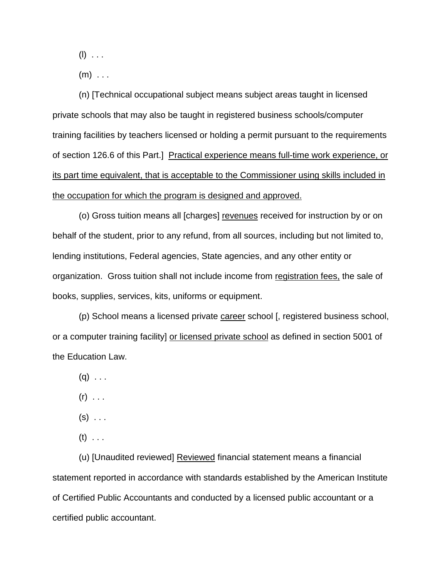$(I)$  . . .

 $(m)$  . . .

(n) [Technical occupational subject means subject areas taught in licensed private schools that may also be taught in registered business schools/computer training facilities by teachers licensed or holding a permit pursuant to the requirements of section 126.6 of this Part.] Practical experience means full-time work experience, or its part time equivalent, that is acceptable to the Commissioner using skills included in the occupation for which the program is designed and approved.

(o) Gross tuition means all [charges] revenues received for instruction by or on behalf of the student, prior to any refund, from all sources, including but not limited to, lending institutions, Federal agencies, State agencies, and any other entity or organization. Gross tuition shall not include income from registration fees, the sale of books, supplies, services, kits, uniforms or equipment.

(p) School means a licensed private career school [, registered business school, or a computer training facility] or licensed private school as defined in section 5001 of the Education Law.

 $(q)$  . . .

- $(r)$  . . .
- $(s)$  ...
- $(t)$  . . .

(u) [Unaudited reviewed] Reviewed financial statement means a financial statement reported in accordance with standards established by the American Institute of Certified Public Accountants and conducted by a licensed public accountant or a certified public accountant.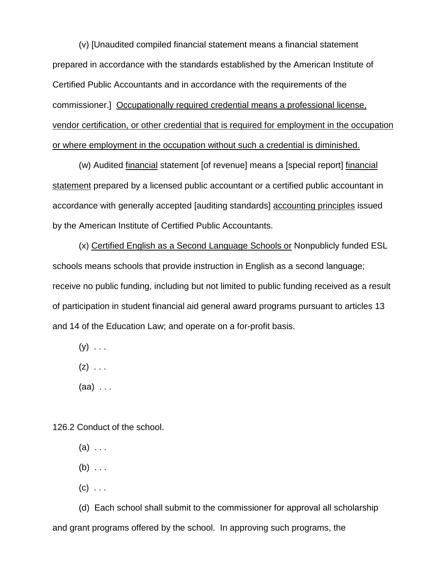(v) [Unaudited compiled financial statement means a financial statement prepared in accordance with the standards established by the American Institute of Certified Public Accountants and in accordance with the requirements of the commissioner.] Occupationally required credential means a professional license, vendor certification, or other credential that is required for employment in the occupation or where employment in the occupation without such a credential is diminished.

(w) Audited financial statement [of revenue] means a [special report] financial statement prepared by a licensed public accountant or a certified public accountant in accordance with generally accepted [auditing standards] accounting principles issued by the American Institute of Certified Public Accountants.

(x) Certified English as a Second Language Schools or Nonpublicly funded ESL schools means schools that provide instruction in English as a second language; receive no public funding, including but not limited to public funding received as a result of participation in student financial aid general award programs pursuant to articles 13 and 14 of the Education Law; and operate on a for-profit basis.

 $(y)$  . . .

 $(z) \ldots$ 

(aa) . . .

126.2 Conduct of the school.

 $(a) \ldots$ 

 $(b) \ldots$ 

 $(c)$  . . .

(d) Each school shall submit to the commissioner for approval all scholarship and grant programs offered by the school. In approving such programs, the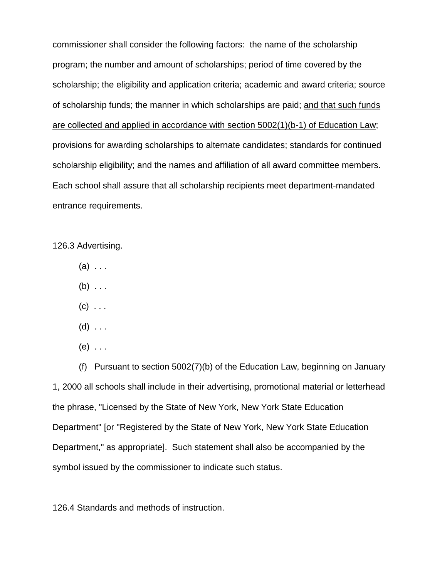commissioner shall consider the following factors: the name of the scholarship program; the number and amount of scholarships; period of time covered by the scholarship; the eligibility and application criteria; academic and award criteria; source of scholarship funds; the manner in which scholarships are paid; and that such funds are collected and applied in accordance with section 5002(1)(b-1) of Education Law; provisions for awarding scholarships to alternate candidates; standards for continued scholarship eligibility; and the names and affiliation of all award committee members. Each school shall assure that all scholarship recipients meet department-mandated entrance requirements.

126.3 Advertising.

- $(a) \ldots$
- $(b)$  . . .
- $(c)$  . . .
- $(d)$  ...
- $(e) \ldots$

(f) Pursuant to section 5002(7)(b) of the Education Law, beginning on January 1, 2000 all schools shall include in their advertising, promotional material or letterhead the phrase, "Licensed by the State of New York, New York State Education Department" [or "Registered by the State of New York, New York State Education Department," as appropriate]. Such statement shall also be accompanied by the symbol issued by the commissioner to indicate such status.

126.4 Standards and methods of instruction.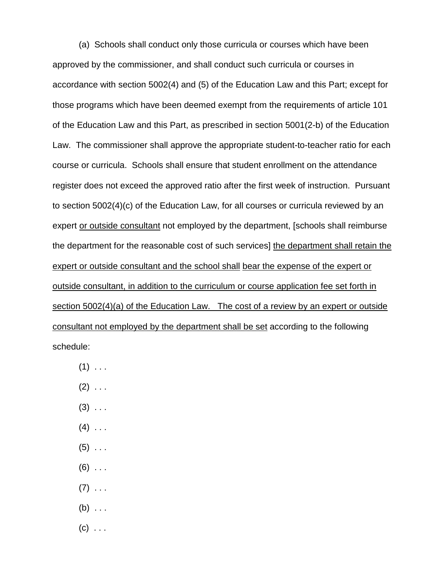(a) Schools shall conduct only those curricula or courses which have been approved by the commissioner, and shall conduct such curricula or courses in accordance with section 5002(4) and (5) of the Education Law and this Part; except for those programs which have been deemed exempt from the requirements of article 101 of the Education Law and this Part, as prescribed in section 5001(2-b) of the Education Law. The commissioner shall approve the appropriate student-to-teacher ratio for each course or curricula. Schools shall ensure that student enrollment on the attendance register does not exceed the approved ratio after the first week of instruction. Pursuant to section 5002(4)(c) of the Education Law, for all courses or curricula reviewed by an expert or outside consultant not employed by the department, [schools shall reimburse the department for the reasonable cost of such services] the department shall retain the expert or outside consultant and the school shall bear the expense of the expert or outside consultant, in addition to the curriculum or course application fee set forth in section 5002(4)(a) of the Education Law. The cost of a review by an expert or outside consultant not employed by the department shall be set according to the following schedule:

- $(1)$  . . .
- $(2)$  . . .
- $(3)$  ...
- $(4)$  ...
- $(5)$  ...
- $(6)$  ...
- $(7)$  . . .
- $(b)$  ...
- $(c)$  ...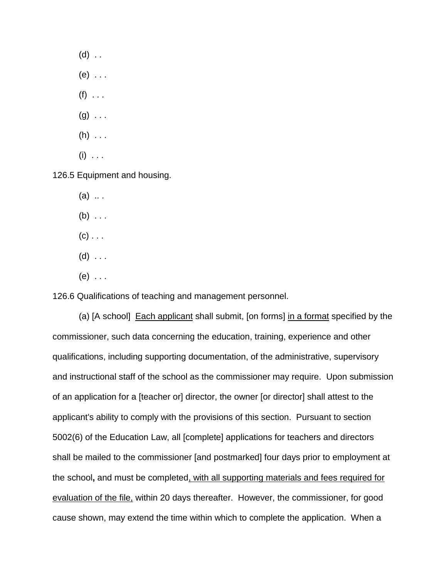$(d)$  .. (e) . . .  $(f)$  . . .  $(g) \ldots$  $(h)$  . . .  $(i)$  . . .

126.5 Equipment and housing.

 $(a)$  ...

 $(b) \ldots$ 

 $(c)$  . . .

 $(d)$  ...

(e) . . .

126.6 Qualifications of teaching and management personnel.

(a) [A school]Each applicant shall submit, [on forms] in a format specified by the commissioner, such data concerning the education, training, experience and other qualifications, including supporting documentation, of the administrative, supervisory and instructional staff of the school as the commissioner may require. Upon submission of an application for a [teacher or] director, the owner [or director] shall attest to the applicant's ability to comply with the provisions of this section. Pursuant to section 5002(6) of the Education Law, all [complete] applications for teachers and directors shall be mailed to the commissioner [and postmarked] four days prior to employment at the school**,** and must be completed, with all supporting materials and fees required for evaluation of the file, within 20 days thereafter. However, the commissioner, for good cause shown, may extend the time within which to complete the application. When a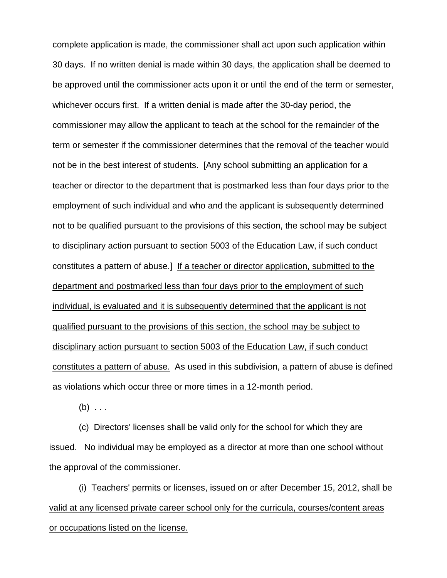complete application is made, the commissioner shall act upon such application within 30 days. If no written denial is made within 30 days, the application shall be deemed to be approved until the commissioner acts upon it or until the end of the term or semester, whichever occurs first. If a written denial is made after the 30-day period, the commissioner may allow the applicant to teach at the school for the remainder of the term or semester if the commissioner determines that the removal of the teacher would not be in the best interest of students. [Any school submitting an application for a teacher or director to the department that is postmarked less than four days prior to the employment of such individual and who and the applicant is subsequently determined not to be qualified pursuant to the provisions of this section, the school may be subject to disciplinary action pursuant to section 5003 of the Education Law, if such conduct constitutes a pattern of abuse.] If a teacher or director application, submitted to the department and postmarked less than four days prior to the employment of such individual, is evaluated and it is subsequently determined that the applicant is not qualified pursuant to the provisions of this section, the school may be subject to disciplinary action pursuant to section 5003 of the Education Law, if such conduct constitutes a pattern of abuse. As used in this subdivision, a pattern of abuse is defined as violations which occur three or more times in a 12-month period.

 $(b) \ldots$ 

(c) Directors' licenses shall be valid only for the school for which they are issued. No individual may be employed as a director at more than one school without the approval of the commissioner.

(i) Teachers' permits or licenses, issued on or after December 15, 2012, shall be valid at any licensed private career school only for the curricula, courses/content areas or occupations listed on the license.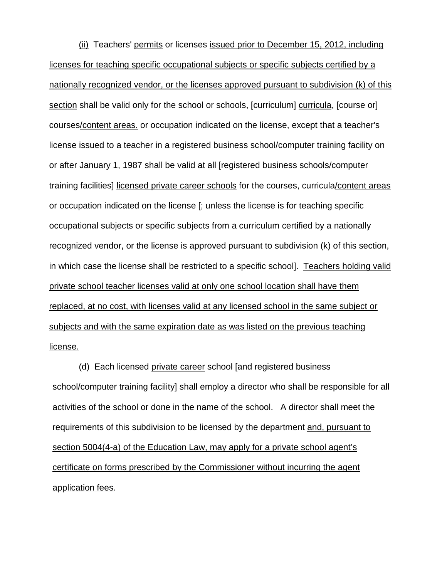(ii) Teachers' permits or licenses issued prior to December 15, 2012, including licenses for teaching specific occupational subjects or specific subjects certified by a nationally recognized vendor, or the licenses approved pursuant to subdivision (k) of this section shall be valid only for the school or schools, [curriculum] curricula, [course or] courses/content areas. or occupation indicated on the license, except that a teacher's license issued to a teacher in a registered business school/computer training facility on or after January 1, 1987 shall be valid at all [registered business schools/computer training facilities] licensed private career schools for the courses, curricula/content areas or occupation indicated on the license [; unless the license is for teaching specific occupational subjects or specific subjects from a curriculum certified by a nationally recognized vendor, or the license is approved pursuant to subdivision (k) of this section, in which case the license shall be restricted to a specific school]. Teachers holding valid private school teacher licenses valid at only one school location shall have them replaced, at no cost, with licenses valid at any licensed school in the same subject or subjects and with the same expiration date as was listed on the previous teaching license.

(d) Each licensed private career school [and registered business school/computer training facility] shall employ a director who shall be responsible for all activities of the school or done in the name of the school. A director shall meet the requirements of this subdivision to be licensed by the department and, pursuant to section 5004(4-a) of the Education Law, may apply for a private school agent's certificate on forms prescribed by the Commissioner without incurring the agent application fees.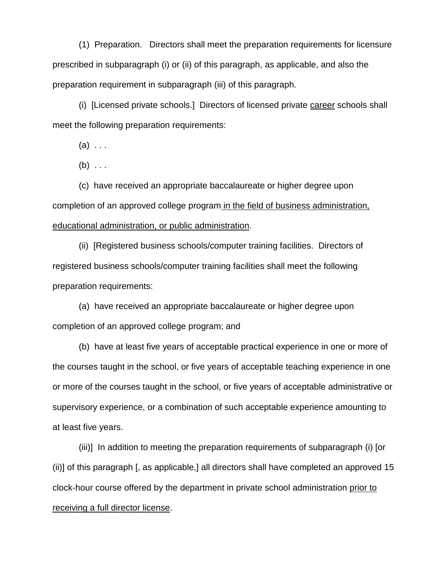(1) Preparation. Directors shall meet the preparation requirements for licensure prescribed in subparagraph (i) or (ii) of this paragraph, as applicable, and also the preparation requirement in subparagraph (iii) of this paragraph.

(i) [Licensed private schools.] Directors of licensed private career schools shall meet the following preparation requirements:

 $(a) \ldots$ 

 $(b) \ldots$ 

(c) have received an appropriate baccalaureate or higher degree upon completion of an approved college program in the field of business administration, educational administration, or public administration.

(ii) [Registered business schools/computer training facilities. Directors of registered business schools/computer training facilities shall meet the following preparation requirements:

(a) have received an appropriate baccalaureate or higher degree upon completion of an approved college program; and

(b) have at least five years of acceptable practical experience in one or more of the courses taught in the school, or five years of acceptable teaching experience in one or more of the courses taught in the school, or five years of acceptable administrative or supervisory experience, or a combination of such acceptable experience amounting to at least five years.

(iii)] In addition to meeting the preparation requirements of subparagraph (i) [or (ii)] of this paragraph [, as applicable,] all directors shall have completed an approved 15 clock-hour course offered by the department in private school administration prior to receiving a full director license.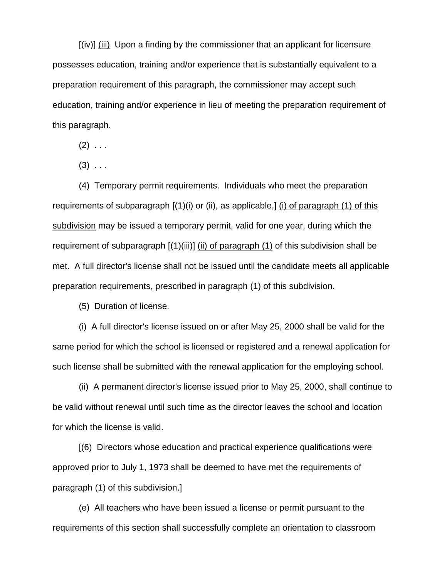[(iv)] (iii) Upon a finding by the commissioner that an applicant for licensure possesses education, training and/or experience that is substantially equivalent to a preparation requirement of this paragraph, the commissioner may accept such education, training and/or experience in lieu of meeting the preparation requirement of this paragraph.

 $(2) \ldots$ 

 $(3)$  ...

(4) Temporary permit requirements. Individuals who meet the preparation requirements of subparagraph [(1)(i) or (ii), as applicable,] (i) of paragraph (1) of this subdivision may be issued a temporary permit, valid for one year, during which the requirement of subparagraph [(1)(iii)] (ii) of paragraph (1) of this subdivision shall be met. A full director's license shall not be issued until the candidate meets all applicable preparation requirements, prescribed in paragraph (1) of this subdivision.

(5) Duration of license.

(i) A full director's license issued on or after May 25, 2000 shall be valid for the same period for which the school is licensed or registered and a renewal application for such license shall be submitted with the renewal application for the employing school.

(ii) A permanent director's license issued prior to May 25, 2000, shall continue to be valid without renewal until such time as the director leaves the school and location for which the license is valid.

[(6) Directors whose education and practical experience qualifications were approved prior to July 1, 1973 shall be deemed to have met the requirements of paragraph (1) of this subdivision.]

(e) All teachers who have been issued a license or permit pursuant to the requirements of this section shall successfully complete an orientation to classroom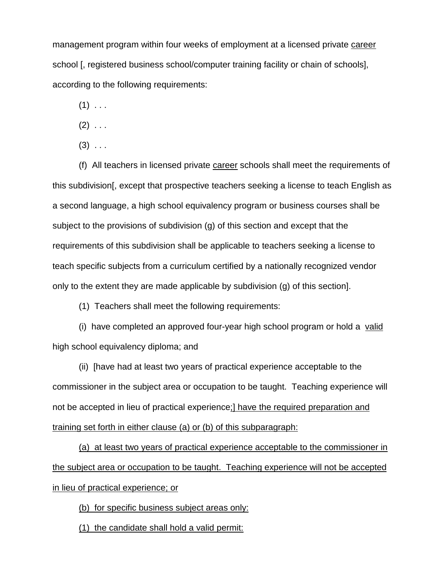management program within four weeks of employment at a licensed private career school [, registered business school/computer training facility or chain of schools], according to the following requirements:

 $(1)$  . . .

- $(2)$  . . .
- $(3)$  ...

(f) All teachers in licensed private career schools shall meet the requirements of this subdivision[, except that prospective teachers seeking a license to teach English as a second language, a high school equivalency program or business courses shall be subject to the provisions of subdivision (g) of this section and except that the requirements of this subdivision shall be applicable to teachers seeking a license to teach specific subjects from a curriculum certified by a nationally recognized vendor only to the extent they are made applicable by subdivision (g) of this section].

(1) Teachers shall meet the following requirements:

(i) have completed an approved four-year high school program or hold a valid high school equivalency diploma; and

(ii) [have had at least two years of practical experience acceptable to the commissioner in the subject area or occupation to be taught. Teaching experience will not be accepted in lieu of practical experience;] have the required preparation and training set forth in either clause (a) or (b) of this subparagraph:

(a) at least two years of practical experience acceptable to the commissioner in the subject area or occupation to be taught. Teaching experience will not be accepted in lieu of practical experience; or

(b) for specific business subject areas only:

(1) the candidate shall hold a valid permit: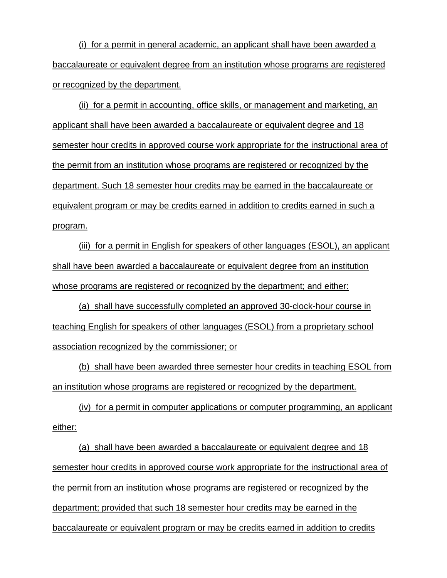(i) for a permit in general academic, an applicant shall have been awarded a baccalaureate or equivalent degree from an institution whose programs are registered or recognized by the department.

(ii) for a permit in accounting, office skills, or management and marketing, an applicant shall have been awarded a baccalaureate or equivalent degree and 18 semester hour credits in approved course work appropriate for the instructional area of the permit from an institution whose programs are registered or recognized by the department. Such 18 semester hour credits may be earned in the baccalaureate or equivalent program or may be credits earned in addition to credits earned in such a program.

(iii) for a permit in English for speakers of other languages (ESOL), an applicant shall have been awarded a baccalaureate or equivalent degree from an institution whose programs are registered or recognized by the department; and either:

(a) shall have successfully completed an approved 30-clock-hour course in teaching English for speakers of other languages (ESOL) from a proprietary school association recognized by the commissioner; or

(b) shall have been awarded three semester hour credits in teaching ESOL from an institution whose programs are registered or recognized by the department.

(iv) for a permit in computer applications or computer programming, an applicant either:

(a) shall have been awarded a baccalaureate or equivalent degree and 18 semester hour credits in approved course work appropriate for the instructional area of the permit from an institution whose programs are registered or recognized by the department; provided that such 18 semester hour credits may be earned in the baccalaureate or equivalent program or may be credits earned in addition to credits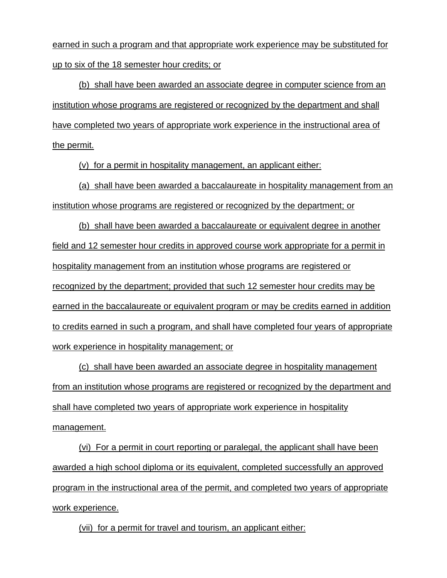earned in such a program and that appropriate work experience may be substituted for up to six of the 18 semester hour credits; or

(b) shall have been awarded an associate degree in computer science from an institution whose programs are registered or recognized by the department and shall have completed two years of appropriate work experience in the instructional area of the permit.

(v) for a permit in hospitality management, an applicant either:

(a) shall have been awarded a baccalaureate in hospitality management from an institution whose programs are registered or recognized by the department; or

(b) shall have been awarded a baccalaureate or equivalent degree in another field and 12 semester hour credits in approved course work appropriate for a permit in hospitality management from an institution whose programs are registered or recognized by the department; provided that such 12 semester hour credits may be earned in the baccalaureate or equivalent program or may be credits earned in addition to credits earned in such a program, and shall have completed four years of appropriate work experience in hospitality management; or

(c) shall have been awarded an associate degree in hospitality management from an institution whose programs are registered or recognized by the department and shall have completed two years of appropriate work experience in hospitality management.

(vi) For a permit in court reporting or paralegal, the applicant shall have been awarded a high school diploma or its equivalent, completed successfully an approved program in the instructional area of the permit, and completed two years of appropriate work experience.

(vii) for a permit for travel and tourism, an applicant either: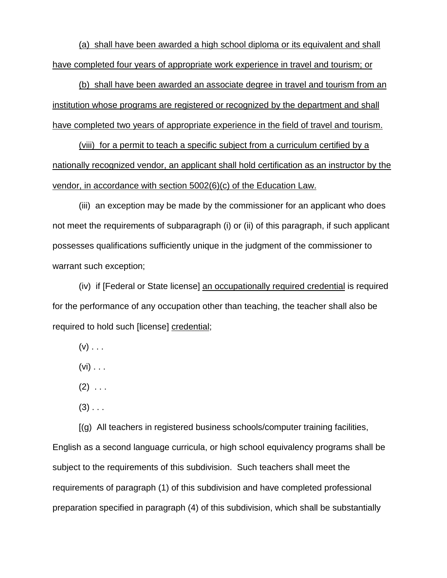(a) shall have been awarded a high school diploma or its equivalent and shall have completed four years of appropriate work experience in travel and tourism; or

(b) shall have been awarded an associate degree in travel and tourism from an institution whose programs are registered or recognized by the department and shall have completed two years of appropriate experience in the field of travel and tourism.

(viii) for a permit to teach a specific subject from a curriculum certified by a nationally recognized vendor, an applicant shall hold certification as an instructor by the vendor, in accordance with section 5002(6)(c) of the Education Law.

(iii) an exception may be made by the commissioner for an applicant who does not meet the requirements of subparagraph (i) or (ii) of this paragraph, if such applicant possesses qualifications sufficiently unique in the judgment of the commissioner to warrant such exception;

(iv) if [Federal or State license] an occupationally required credential is required for the performance of any occupation other than teaching, the teacher shall also be required to hold such [license] credential;

- $(v)$  . . .
- $(vi) \ldots$
- $(2)$  . . .
- $(3)$  . . .

[(g) All teachers in registered business schools/computer training facilities,

English as a second language curricula, or high school equivalency programs shall be subject to the requirements of this subdivision. Such teachers shall meet the requirements of paragraph (1) of this subdivision and have completed professional preparation specified in paragraph (4) of this subdivision, which shall be substantially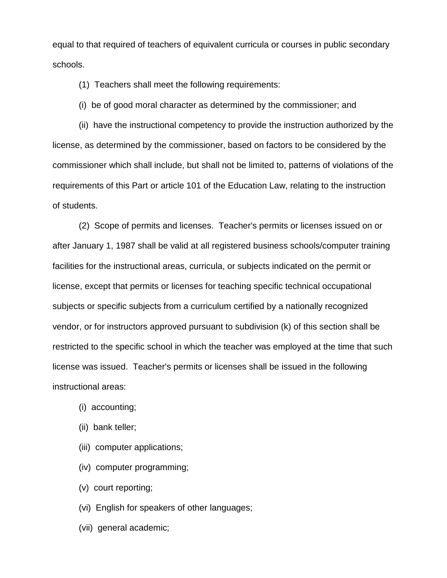equal to that required of teachers of equivalent curricula or courses in public secondary schools.

(1) Teachers shall meet the following requirements:

(i) be of good moral character as determined by the commissioner; and

(ii) have the instructional competency to provide the instruction authorized by the license, as determined by the commissioner, based on factors to be considered by the commissioner which shall include, but shall not be limited to, patterns of violations of the requirements of this Part or article 101 of the Education Law, relating to the instruction of students.

(2) Scope of permits and licenses. Teacher's permits or licenses issued on or after January 1, 1987 shall be valid at all registered business schools/computer training facilities for the instructional areas, curricula, or subjects indicated on the permit or license, except that permits or licenses for teaching specific technical occupational subjects or specific subjects from a curriculum certified by a nationally recognized vendor, or for instructors approved pursuant to subdivision (k) of this section shall be restricted to the specific school in which the teacher was employed at the time that such license was issued. Teacher's permits or licenses shall be issued in the following instructional areas:

- (i) accounting;
- (ii) bank teller;
- (iii) computer applications;
- (iv) computer programming;
- (v) court reporting;

(vi) English for speakers of other languages;

(vii) general academic;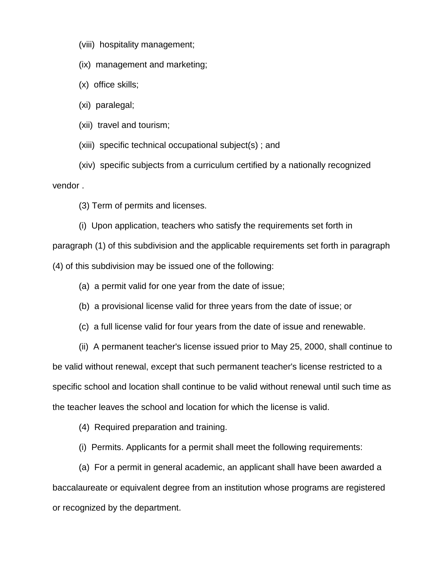(viii) hospitality management;

(ix) management and marketing;

(x) office skills;

(xi) paralegal;

(xii) travel and tourism;

(xiii) specific technical occupational subject(s) ; and

(xiv) specific subjects from a curriculum certified by a nationally recognized vendor .

(3) Term of permits and licenses.

(i) Upon application, teachers who satisfy the requirements set forth in paragraph (1) of this subdivision and the applicable requirements set forth in paragraph (4) of this subdivision may be issued one of the following:

(a) a permit valid for one year from the date of issue;

(b) a provisional license valid for three years from the date of issue; or

(c) a full license valid for four years from the date of issue and renewable.

(ii) A permanent teacher's license issued prior to May 25, 2000, shall continue to be valid without renewal, except that such permanent teacher's license restricted to a specific school and location shall continue to be valid without renewal until such time as the teacher leaves the school and location for which the license is valid.

(4) Required preparation and training.

(i) Permits. Applicants for a permit shall meet the following requirements:

(a) For a permit in general academic, an applicant shall have been awarded a baccalaureate or equivalent degree from an institution whose programs are registered or recognized by the department.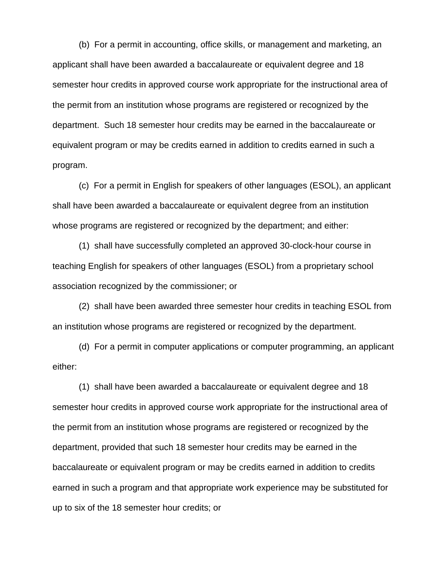(b) For a permit in accounting, office skills, or management and marketing, an applicant shall have been awarded a baccalaureate or equivalent degree and 18 semester hour credits in approved course work appropriate for the instructional area of the permit from an institution whose programs are registered or recognized by the department. Such 18 semester hour credits may be earned in the baccalaureate or equivalent program or may be credits earned in addition to credits earned in such a program.

(c) For a permit in English for speakers of other languages (ESOL), an applicant shall have been awarded a baccalaureate or equivalent degree from an institution whose programs are registered or recognized by the department; and either:

(1) shall have successfully completed an approved 30-clock-hour course in teaching English for speakers of other languages (ESOL) from a proprietary school association recognized by the commissioner; or

(2) shall have been awarded three semester hour credits in teaching ESOL from an institution whose programs are registered or recognized by the department.

(d) For a permit in computer applications or computer programming, an applicant either:

(1) shall have been awarded a baccalaureate or equivalent degree and 18 semester hour credits in approved course work appropriate for the instructional area of the permit from an institution whose programs are registered or recognized by the department, provided that such 18 semester hour credits may be earned in the baccalaureate or equivalent program or may be credits earned in addition to credits earned in such a program and that appropriate work experience may be substituted for up to six of the 18 semester hour credits; or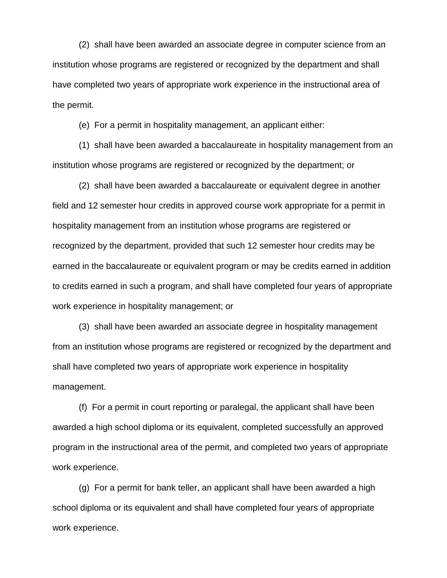(2) shall have been awarded an associate degree in computer science from an institution whose programs are registered or recognized by the department and shall have completed two years of appropriate work experience in the instructional area of the permit.

(e) For a permit in hospitality management, an applicant either:

(1) shall have been awarded a baccalaureate in hospitality management from an institution whose programs are registered or recognized by the department; or

(2) shall have been awarded a baccalaureate or equivalent degree in another field and 12 semester hour credits in approved course work appropriate for a permit in hospitality management from an institution whose programs are registered or recognized by the department, provided that such 12 semester hour credits may be earned in the baccalaureate or equivalent program or may be credits earned in addition to credits earned in such a program, and shall have completed four years of appropriate work experience in hospitality management; or

(3) shall have been awarded an associate degree in hospitality management from an institution whose programs are registered or recognized by the department and shall have completed two years of appropriate work experience in hospitality management.

(f) For a permit in court reporting or paralegal, the applicant shall have been awarded a high school diploma or its equivalent, completed successfully an approved program in the instructional area of the permit, and completed two years of appropriate work experience.

(g) For a permit for bank teller, an applicant shall have been awarded a high school diploma or its equivalent and shall have completed four years of appropriate work experience.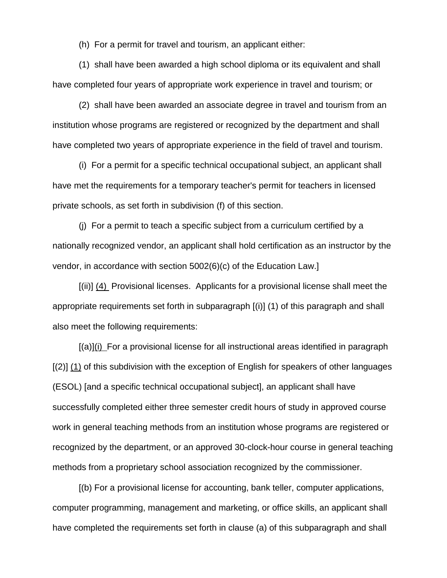(h) For a permit for travel and tourism, an applicant either:

(1) shall have been awarded a high school diploma or its equivalent and shall have completed four years of appropriate work experience in travel and tourism; or

(2) shall have been awarded an associate degree in travel and tourism from an institution whose programs are registered or recognized by the department and shall have completed two years of appropriate experience in the field of travel and tourism.

(i) For a permit for a specific technical occupational subject, an applicant shall have met the requirements for a temporary teacher's permit for teachers in licensed private schools, as set forth in subdivision (f) of this section.

(j) For a permit to teach a specific subject from a curriculum certified by a nationally recognized vendor, an applicant shall hold certification as an instructor by the vendor, in accordance with section 5002(6)(c) of the Education Law.]

[(ii)] (4) Provisional licenses. Applicants for a provisional license shall meet the appropriate requirements set forth in subparagraph [(i)] (1) of this paragraph and shall also meet the following requirements:

[(a)](i) For a provisional license for all instructional areas identified in paragraph [(2)] (1) of this subdivision with the exception of English for speakers of other languages (ESOL) [and a specific technical occupational subject], an applicant shall have successfully completed either three semester credit hours of study in approved course work in general teaching methods from an institution whose programs are registered or recognized by the department, or an approved 30-clock-hour course in general teaching methods from a proprietary school association recognized by the commissioner.

[(b) For a provisional license for accounting, bank teller, computer applications, computer programming, management and marketing, or office skills, an applicant shall have completed the requirements set forth in clause (a) of this subparagraph and shall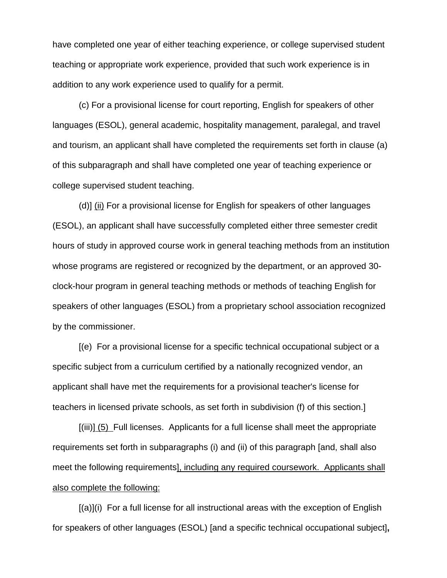have completed one year of either teaching experience, or college supervised student teaching or appropriate work experience, provided that such work experience is in addition to any work experience used to qualify for a permit.

(c) For a provisional license for court reporting, English for speakers of other languages (ESOL), general academic, hospitality management, paralegal, and travel and tourism, an applicant shall have completed the requirements set forth in clause (a) of this subparagraph and shall have completed one year of teaching experience or college supervised student teaching.

(d)] (ii) For a provisional license for English for speakers of other languages (ESOL), an applicant shall have successfully completed either three semester credit hours of study in approved course work in general teaching methods from an institution whose programs are registered or recognized by the department, or an approved 30 clock-hour program in general teaching methods or methods of teaching English for speakers of other languages (ESOL) from a proprietary school association recognized by the commissioner.

[(e) For a provisional license for a specific technical occupational subject or a specific subject from a curriculum certified by a nationally recognized vendor, an applicant shall have met the requirements for a provisional teacher's license for teachers in licensed private schools, as set forth in subdivision (f) of this section.]

[(iii)] (5) Full licenses. Applicants for a full license shall meet the appropriate requirements set forth in subparagraphs (i) and (ii) of this paragraph [and, shall also meet the following requirements], including any required coursework. Applicants shall also complete the following:

 $[(a)](i)$  For a full license for all instructional areas with the exception of English for speakers of other languages (ESOL) [and a specific technical occupational subject]**,**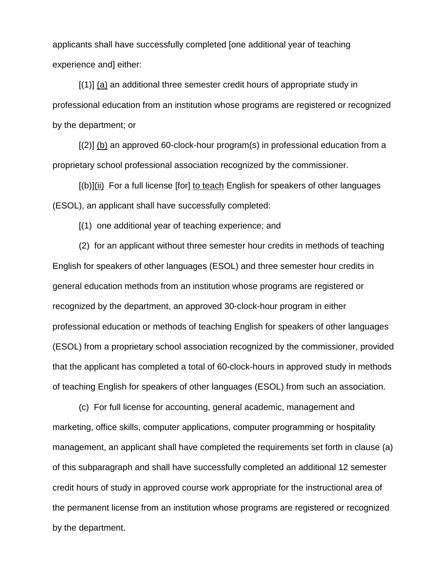applicants shall have successfully completed [one additional year of teaching experience and] either:

[(1)] (a) an additional three semester credit hours of appropriate study in professional education from an institution whose programs are registered or recognized by the department; or

[(2)] (b) an approved 60-clock-hour program(s) in professional education from a proprietary school professional association recognized by the commissioner.

[(b)](ii) For a full license [for] to teach English for speakers of other languages (ESOL), an applicant shall have successfully completed:

[(1) one additional year of teaching experience; and

(2) for an applicant without three semester hour credits in methods of teaching English for speakers of other languages (ESOL) and three semester hour credits in general education methods from an institution whose programs are registered or recognized by the department, an approved 30-clock-hour program in either professional education or methods of teaching English for speakers of other languages (ESOL) from a proprietary school association recognized by the commissioner, provided that the applicant has completed a total of 60-clock-hours in approved study in methods of teaching English for speakers of other languages (ESOL) from such an association.

(c) For full license for accounting, general academic, management and marketing, office skills, computer applications, computer programming or hospitality management, an applicant shall have completed the requirements set forth in clause (a) of this subparagraph and shall have successfully completed an additional 12 semester credit hours of study in approved course work appropriate for the instructional area of the permanent license from an institution whose programs are registered or recognized by the department.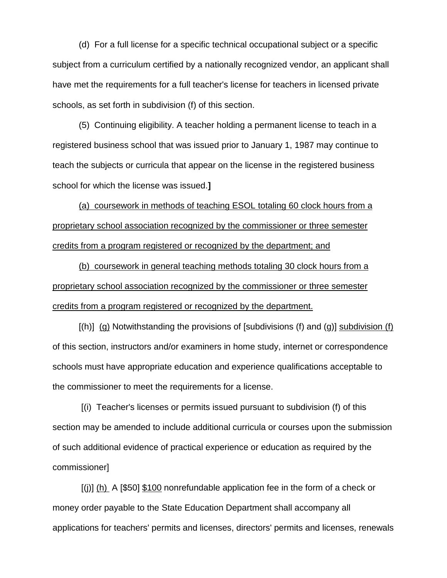(d) For a full license for a specific technical occupational subject or a specific subject from a curriculum certified by a nationally recognized vendor, an applicant shall have met the requirements for a full teacher's license for teachers in licensed private schools, as set forth in subdivision (f) of this section.

(5) Continuing eligibility. A teacher holding a permanent license to teach in a registered business school that was issued prior to January 1, 1987 may continue to teach the subjects or curricula that appear on the license in the registered business school for which the license was issued.**]**

(a) coursework in methods of teaching ESOL totaling 60 clock hours from a proprietary school association recognized by the commissioner or three semester credits from a program registered or recognized by the department; and

(b) coursework in general teaching methods totaling 30 clock hours from a proprietary school association recognized by the commissioner or three semester credits from a program registered or recognized by the department.

 $[(h)]$  (g) Notwithstanding the provisions of [subdivisions (f) and (g)] subdivision (f) of this section, instructors and/or examiners in home study, internet or correspondence schools must have appropriate education and experience qualifications acceptable to the commissioner to meet the requirements for a license.

[(i) Teacher's licenses or permits issued pursuant to subdivision (f) of this section may be amended to include additional curricula or courses upon the submission of such additional evidence of practical experience or education as required by the commissioner]

[(j)] (h) A [\$50] \$100 nonrefundable application fee in the form of a check or money order payable to the State Education Department shall accompany all applications for teachers' permits and licenses, directors' permits and licenses, renewals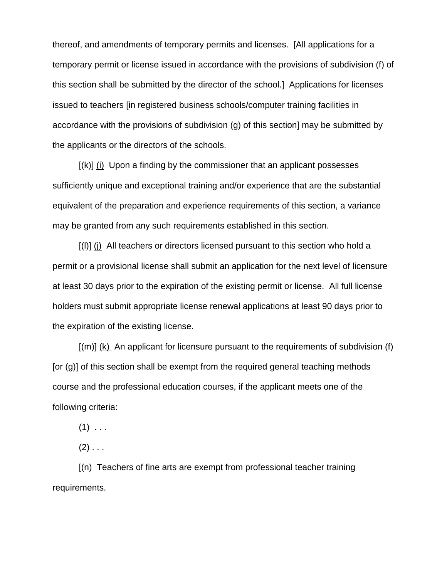thereof, and amendments of temporary permits and licenses. [All applications for a temporary permit or license issued in accordance with the provisions of subdivision (f) of this section shall be submitted by the director of the school.]Applications for licenses issued to teachers [in registered business schools/computer training facilities in accordance with the provisions of subdivision (g) of this section] may be submitted by the applicants or the directors of the schools.

[(k)] (i) Upon a finding by the commissioner that an applicant possesses sufficiently unique and exceptional training and/or experience that are the substantial equivalent of the preparation and experience requirements of this section, a variance may be granted from any such requirements established in this section.

[(l)] (j) All teachers or directors licensed pursuant to this section who hold a permit or a provisional license shall submit an application for the next level of licensure at least 30 days prior to the expiration of the existing permit or license. All full license holders must submit appropriate license renewal applications at least 90 days prior to the expiration of the existing license.

[(m)] (k) An applicant for licensure pursuant to the requirements of subdivision (f) [or (g)] of this section shall be exempt from the required general teaching methods course and the professional education courses, if the applicant meets one of the following criteria:

 $(1)$  . . .

 $(2)$  . . .

[(n) Teachers of fine arts are exempt from professional teacher training requirements.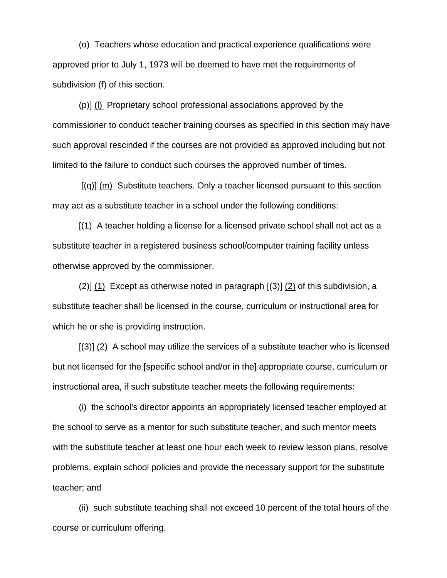(o) Teachers whose education and practical experience qualifications were approved prior to July 1, 1973 will be deemed to have met the requirements of subdivision (f) of this section.

(p)] (l) Proprietary school professional associations approved by the commissioner to conduct teacher training courses as specified in this section may have such approval rescinded if the courses are not provided as approved including but not limited to the failure to conduct such courses the approved number of times.

 $[(q)]$  (m) Substitute teachers. Only a teacher licensed pursuant to this section may act as a substitute teacher in a school under the following conditions:

[(1) A teacher holding a license for a licensed private school shall not act as a substitute teacher in a registered business school/computer training facility unless otherwise approved by the commissioner.

(2)] (1) Except as otherwise noted in paragraph [(3)] (2) of this subdivision, a substitute teacher shall be licensed in the course, curriculum or instructional area for which he or she is providing instruction.

[(3)] (2) A school may utilize the services of a substitute teacher who is licensed but not licensed for the [specific school and/or in the] appropriate course, curriculum or instructional area, if such substitute teacher meets the following requirements:

(i) the school's director appoints an appropriately licensed teacher employed at the school to serve as a mentor for such substitute teacher, and such mentor meets with the substitute teacher at least one hour each week to review lesson plans, resolve problems, explain school policies and provide the necessary support for the substitute teacher; and

(ii) such substitute teaching shall not exceed 10 percent of the total hours of the course or curriculum offering.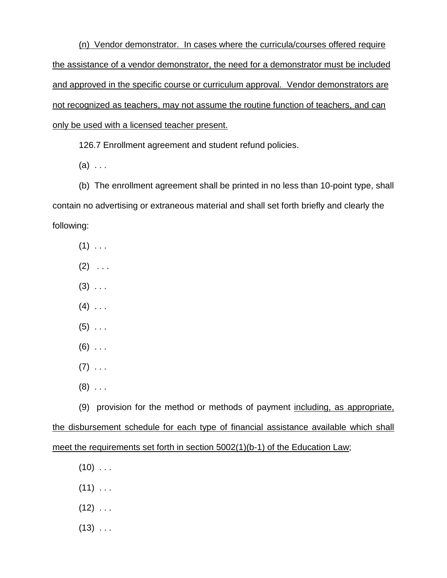(n) Vendor demonstrator. In cases where the curricula/courses offered require the assistance of a vendor demonstrator, the need for a demonstrator must be included and approved in the specific course or curriculum approval. Vendor demonstrators are not recognized as teachers, may not assume the routine function of teachers, and can only be used with a licensed teacher present.

126.7 Enrollment agreement and student refund policies.

 $(a) \ldots$ 

(b) The enrollment agreement shall be printed in no less than 10-point type, shall contain no advertising or extraneous material and shall set forth briefly and clearly the following:

- $(1)$  . . .
- $(2) \ldots$
- $(3)$  ...
- $(4)$  . . .
- $(5)$  ...
- $(6)$  ...
- $(7)$  ...
- $(8)$  ...

(9) provision for the method or methods of payment including, as appropriate, the disbursement schedule for each type of financial assistance available which shall meet the requirements set forth in section 5002(1)(b-1) of the Education Law;

- $(10)$  ...
- $(11)$  . . .
- $(12)$  . . .
- $(13)$  ...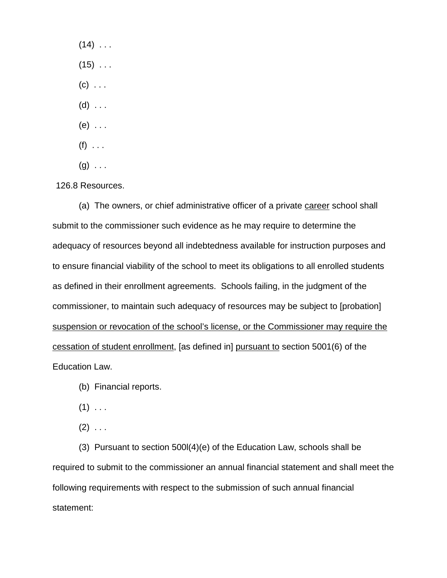$(14)$  ...  $(15)$  . . .  $(c)$  . . .  $(d)$  ...  $(e)$  ...  $(f)$  . . .  $(g) \ldots$ 

126.8 Resources.

(a) The owners, or chief administrative officer of a private career school shall submit to the commissioner such evidence as he may require to determine the adequacy of resources beyond all indebtedness available for instruction purposes and to ensure financial viability of the school to meet its obligations to all enrolled students as defined in their enrollment agreements. Schools failing, in the judgment of the commissioner, to maintain such adequacy of resources may be subject to [probation] suspension or revocation of the school's license, or the Commissioner may require the cessation of student enrollment, [as defined in] pursuant to section 5001(6) of the Education Law.

(b) Financial reports.

 $(1)$  . . .

 $(2) \ldots$ 

(3) Pursuant to section 500l(4)(e) of the Education Law, schools shall be required to submit to the commissioner an annual financial statement and shall meet the following requirements with respect to the submission of such annual financial statement: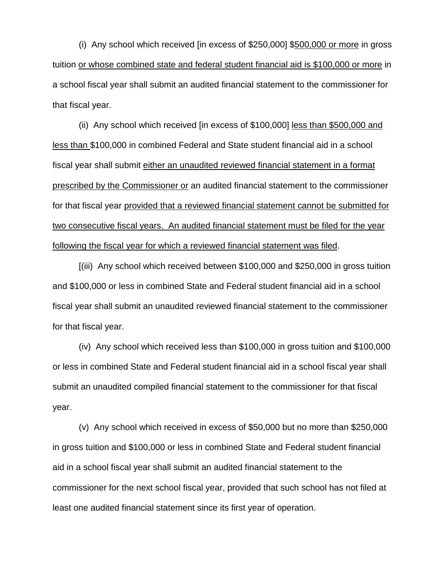(i) Any school which received [in excess of \$250,000] \$500,000 or more in gross tuition or whose combined state and federal student financial aid is \$100,000 or more in a school fiscal year shall submit an audited financial statement to the commissioner for that fiscal year.

(ii) Any school which received [in excess of \$100,000] less than \$500,000 and less than \$100,000 in combined Federal and State student financial aid in a school fiscal year shall submit either an unaudited reviewed financial statement in a format prescribed by the Commissioner or an audited financial statement to the commissioner for that fiscal year provided that a reviewed financial statement cannot be submitted for two consecutive fiscal years. An audited financial statement must be filed for the year following the fiscal year for which a reviewed financial statement was filed.

[(iii) Any school which received between \$100,000 and \$250,000 in gross tuition and \$100,000 or less in combined State and Federal student financial aid in a school fiscal year shall submit an unaudited reviewed financial statement to the commissioner for that fiscal year.

(iv) Any school which received less than \$100,000 in gross tuition and \$100,000 or less in combined State and Federal student financial aid in a school fiscal year shall submit an unaudited compiled financial statement to the commissioner for that fiscal year.

(v) Any school which received in excess of \$50,000 but no more than \$250,000 in gross tuition and \$100,000 or less in combined State and Federal student financial aid in a school fiscal year shall submit an audited financial statement to the commissioner for the next school fiscal year, provided that such school has not filed at least one audited financial statement since its first year of operation.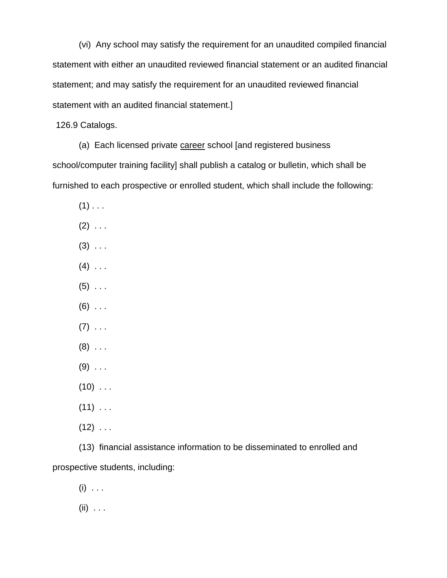(vi) Any school may satisfy the requirement for an unaudited compiled financial statement with either an unaudited reviewed financial statement or an audited financial statement; and may satisfy the requirement for an unaudited reviewed financial statement with an audited financial statement.]

126.9 Catalogs.

(a) Each licensed private career school [and registered business school/computer training facility] shall publish a catalog or bulletin, which shall be furnished to each prospective or enrolled student, which shall include the following:

- $(1)$  . . .
- $(2)$  . . .
- $(3)$  ...
- $(4)$  . . .
- $(5)$  . . .
- $(6)$  ...
- $(7) \ldots$
- $(8)$  ...
- $(9)$  ...
- $(10)$  ...
- $(11)$  . . .
- $(12)$  ...

(13) financial assistance information to be disseminated to enrolled and prospective students, including:

 $(i) \ldots$ 

 $(ii) \ldots$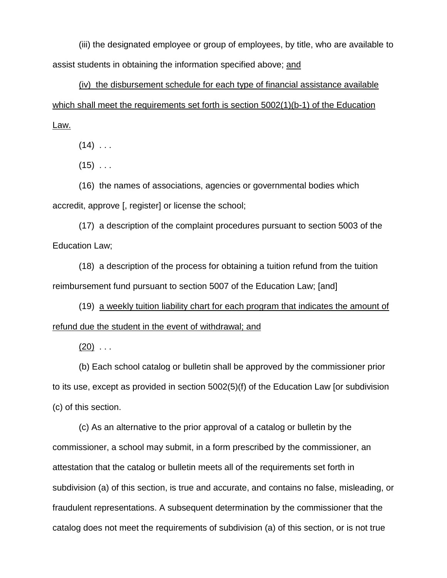(iii) the designated employee or group of employees, by title, who are available to assist students in obtaining the information specified above; and

(iv) the disbursement schedule for each type of financial assistance available which shall meet the requirements set forth is section 5002(1)(b-1) of the Education Law.

 $(14)$  . . .

 $(15)$  ...

(16) the names of associations, agencies or governmental bodies which accredit, approve [, register] or license the school;

(17) a description of the complaint procedures pursuant to section 5003 of the Education Law;

(18) a description of the process for obtaining a tuition refund from the tuition reimbursement fund pursuant to section 5007 of the Education Law; [and]

(19) a weekly tuition liability chart for each program that indicates the amount of refund due the student in the event of withdrawal; and

 $(20)$  ...

(b) Each school catalog or bulletin shall be approved by the commissioner prior to its use, except as provided in section 5002(5)(f) of the Education Law [or subdivision (c) of this section.

(c) As an alternative to the prior approval of a catalog or bulletin by the commissioner, a school may submit, in a form prescribed by the commissioner, an attestation that the catalog or bulletin meets all of the requirements set forth in subdivision (a) of this section, is true and accurate, and contains no false, misleading, or fraudulent representations. A subsequent determination by the commissioner that the catalog does not meet the requirements of subdivision (a) of this section, or is not true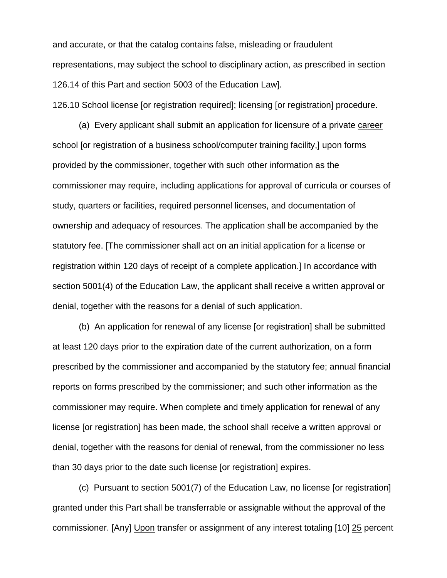and accurate, or that the catalog contains false, misleading or fraudulent representations, may subject the school to disciplinary action, as prescribed in section 126.14 of this Part and section 5003 of the Education Law].

126.10 School license [or registration required]; licensing [or registration] procedure.

(a) Every applicant shall submit an application for licensure of a private career school [or registration of a business school/computer training facility,] upon forms provided by the commissioner, together with such other information as the commissioner may require, including applications for approval of curricula or courses of study, quarters or facilities, required personnel licenses, and documentation of ownership and adequacy of resources. The application shall be accompanied by the statutory fee. [The commissioner shall act on an initial application for a license or registration within 120 days of receipt of a complete application.] In accordance with section 5001(4) of the Education Law, the applicant shall receive a written approval or denial, together with the reasons for a denial of such application.

(b) An application for renewal of any license [or registration] shall be submitted at least 120 days prior to the expiration date of the current authorization, on a form prescribed by the commissioner and accompanied by the statutory fee; annual financial reports on forms prescribed by the commissioner; and such other information as the commissioner may require. When complete and timely application for renewal of any license [or registration] has been made, the school shall receive a written approval or denial, together with the reasons for denial of renewal, from the commissioner no less than 30 days prior to the date such license [or registration] expires.

(c) Pursuant to section 5001(7) of the Education Law, no license [or registration] granted under this Part shall be transferrable or assignable without the approval of the commissioner. [Any] Upon transfer or assignment of any interest totaling [10] 25 percent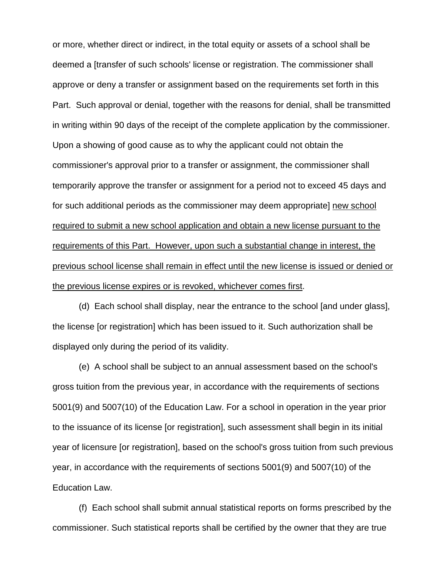or more, whether direct or indirect, in the total equity or assets of a school shall be deemed a [transfer of such schools' license or registration. The commissioner shall approve or deny a transfer or assignment based on the requirements set forth in this Part. Such approval or denial, together with the reasons for denial, shall be transmitted in writing within 90 days of the receipt of the complete application by the commissioner. Upon a showing of good cause as to why the applicant could not obtain the commissioner's approval prior to a transfer or assignment, the commissioner shall temporarily approve the transfer or assignment for a period not to exceed 45 days and for such additional periods as the commissioner may deem appropriate] new school required to submit a new school application and obtain a new license pursuant to the requirements of this Part. However, upon such a substantial change in interest, the previous school license shall remain in effect until the new license is issued or denied or the previous license expires or is revoked, whichever comes first.

(d) Each school shall display, near the entrance to the school [and under glass], the license [or registration] which has been issued to it. Such authorization shall be displayed only during the period of its validity.

(e) A school shall be subject to an annual assessment based on the school's gross tuition from the previous year, in accordance with the requirements of sections 5001(9) and 5007(10) of the Education Law. For a school in operation in the year prior to the issuance of its license [or registration], such assessment shall begin in its initial year of licensure [or registration], based on the school's gross tuition from such previous year, in accordance with the requirements of sections 5001(9) and 5007(10) of the Education Law.

(f) Each school shall submit annual statistical reports on forms prescribed by the commissioner. Such statistical reports shall be certified by the owner that they are true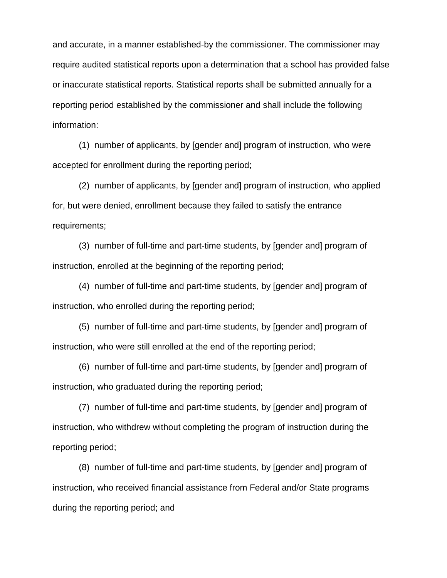and accurate, in a manner established-by the commissioner. The commissioner may require audited statistical reports upon a determination that a school has provided false or inaccurate statistical reports. Statistical reports shall be submitted annually for a reporting period established by the commissioner and shall include the following information:

(1) number of applicants, by [gender and] program of instruction, who were accepted for enrollment during the reporting period;

(2) number of applicants, by [gender and] program of instruction, who applied for, but were denied, enrollment because they failed to satisfy the entrance requirements;

(3) number of full-time and part-time students, by [gender and] program of instruction, enrolled at the beginning of the reporting period;

(4) number of full-time and part-time students, by [gender and] program of instruction, who enrolled during the reporting period;

(5) number of full-time and part-time students, by [gender and] program of instruction, who were still enrolled at the end of the reporting period;

(6) number of full-time and part-time students, by [gender and] program of instruction, who graduated during the reporting period;

(7) number of full-time and part-time students, by [gender and] program of instruction, who withdrew without completing the program of instruction during the reporting period;

(8) number of full-time and part-time students, by [gender and] program of instruction, who received financial assistance from Federal and/or State programs during the reporting period; and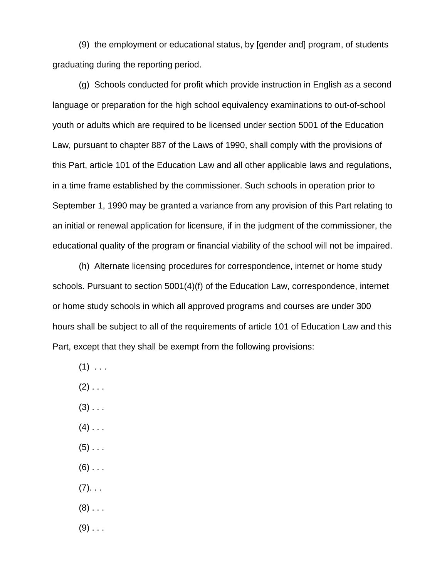(9) the employment or educational status, by [gender and] program, of students graduating during the reporting period.

(g) Schools conducted for profit which provide instruction in English as a second language or preparation for the high school equivalency examinations to out-of-school youth or adults which are required to be licensed under section 5001 of the Education Law, pursuant to chapter 887 of the Laws of 1990, shall comply with the provisions of this Part, article 101 of the Education Law and all other applicable laws and regulations, in a time frame established by the commissioner. Such schools in operation prior to September 1, 1990 may be granted a variance from any provision of this Part relating to an initial or renewal application for licensure, if in the judgment of the commissioner, the educational quality of the program or financial viability of the school will not be impaired.

(h) Alternate licensing procedures for correspondence, internet or home study schools. Pursuant to section 5001(4)(f) of the Education Law, correspondence, internet or home study schools in which all approved programs and courses are under 300 hours shall be subject to all of the requirements of article 101 of Education Law and this Part, except that they shall be exempt from the following provisions:

- $(1)$  ...
- $(2)$  . . .
- $(3)$  . . .
- $(4)$  . . .
- $(5)$  . . .
- $(6)$  . . .
- $(7).$ ...
- $(8)$  . . .
- $(9)$  . . .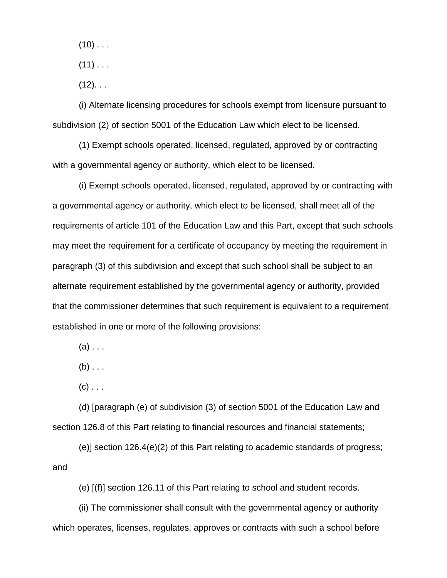$(10)$  . . .

 $(11)$  . . .

 $(12)$ . . .

(i) Alternate licensing procedures for schools exempt from licensure pursuant to subdivision (2) of section 5001 of the Education Law which elect to be licensed.

(1) Exempt schools operated, licensed, regulated, approved by or contracting with a governmental agency or authority, which elect to be licensed.

(i) Exempt schools operated, licensed, regulated, approved by or contracting with a governmental agency or authority, which elect to be licensed, shall meet all of the requirements of article 101 of the Education Law and this Part, except that such schools may meet the requirement for a certificate of occupancy by meeting the requirement in paragraph (3) of this subdivision and except that such school shall be subject to an alternate requirement established by the governmental agency or authority, provided that the commissioner determines that such requirement is equivalent to a requirement established in one or more of the following provisions:

 $(a)$ ...

 $(b)$  . . .

 $(c)$  . . .

(d) [paragraph (e) of subdivision (3) of section 5001 of the Education Law and section 126.8 of this Part relating to financial resources and financial statements;

(e)] section 126.4(e)(2) of this Part relating to academic standards of progress; and

(e) [(f)] section 126.11 of this Part relating to school and student records.

(ii) The commissioner shall consult with the governmental agency or authority which operates, licenses, regulates, approves or contracts with such a school before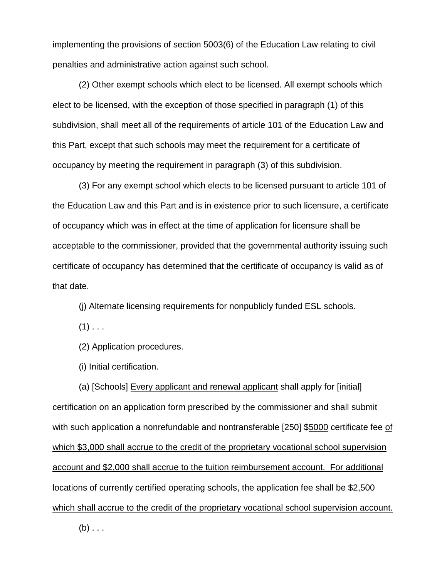implementing the provisions of section 5003(6) of the Education Law relating to civil penalties and administrative action against such school.

(2) Other exempt schools which elect to be licensed. All exempt schools which elect to be licensed, with the exception of those specified in paragraph (1) of this subdivision, shall meet all of the requirements of article 101 of the Education Law and this Part, except that such schools may meet the requirement for a certificate of occupancy by meeting the requirement in paragraph (3) of this subdivision.

(3) For any exempt school which elects to be licensed pursuant to article 101 of the Education Law and this Part and is in existence prior to such licensure, a certificate of occupancy which was in effect at the time of application for licensure shall be acceptable to the commissioner, provided that the governmental authority issuing such certificate of occupancy has determined that the certificate of occupancy is valid as of that date.

(j) Alternate licensing requirements for nonpublicly funded ESL schools.

 $(1)$  . . .

(2) Application procedures.

(i) Initial certification.

(a) [Schools] Every applicant and renewal applicant shall apply for [initial] certification on an application form prescribed by the commissioner and shall submit with such application a nonrefundable and nontransferable [250] \$5000 certificate fee of which \$3,000 shall accrue to the credit of the proprietary vocational school supervision account and \$2,000 shall accrue to the tuition reimbursement account. For additional locations of currently certified operating schools, the application fee shall be \$2,500 which shall accrue to the credit of the proprietary vocational school supervision account.

 $(b) \ldots$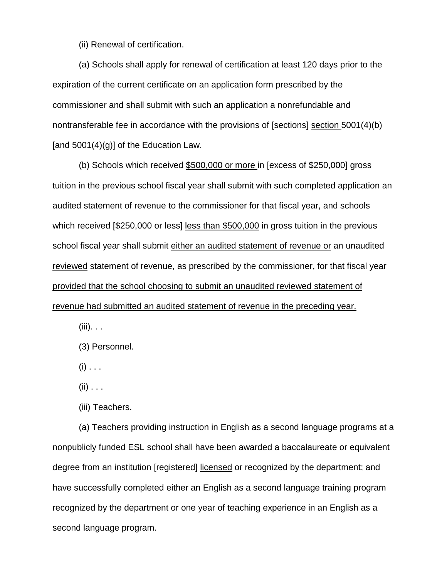(ii) Renewal of certification.

(a) Schools shall apply for renewal of certification at least 120 days prior to the expiration of the current certificate on an application form prescribed by the commissioner and shall submit with such an application a nonrefundable and nontransferable fee in accordance with the provisions of [sections] section 5001(4)(b) [and  $5001(4)(g)$ ] of the Education Law.

(b) Schools which received \$500,000 or more in [excess of \$250,000] gross tuition in the previous school fiscal year shall submit with such completed application an audited statement of revenue to the commissioner for that fiscal year, and schools which received [\$250,000 or less] less than \$500,000 in gross tuition in the previous school fiscal year shall submit either an audited statement of revenue or an unaudited reviewed statement of revenue, as prescribed by the commissioner, for that fiscal year provided that the school choosing to submit an unaudited reviewed statement of revenue had submitted an audited statement of revenue in the preceding year.

 $(iii)$ . . .

(3) Personnel.

 $(i)$  . . .

 $(ii)$  . . .

(iii) Teachers.

(a) Teachers providing instruction in English as a second language programs at a nonpublicly funded ESL school shall have been awarded a baccalaureate or equivalent degree from an institution [registered] licensed or recognized by the department; and have successfully completed either an English as a second language training program recognized by the department or one year of teaching experience in an English as a second language program.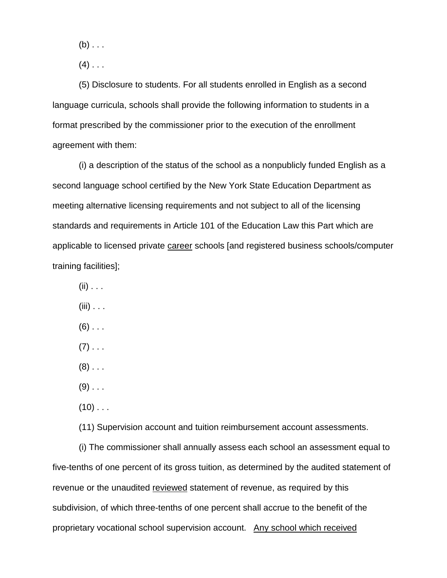$(b)$ ...

 $(4)$  . . .

(5) Disclosure to students. For all students enrolled in English as a second language curricula, schools shall provide the following information to students in a format prescribed by the commissioner prior to the execution of the enrollment agreement with them:

(i) a description of the status of the school as a nonpublicly funded English as a second language school certified by the New York State Education Department as meeting alternative licensing requirements and not subject to all of the licensing standards and requirements in Article 101 of the Education Law this Part which are applicable to licensed private career schools [and registered business schools/computer training facilities];

- $(ii)$  . . .
- $(iii)$  . . .
- $(6)$  . . .
- $(7)$  . . .
- $(8)$  . . .
- $(9)$  . . .
- $(10)$  . . .

(11) Supervision account and tuition reimbursement account assessments.

(i) The commissioner shall annually assess each school an assessment equal to five-tenths of one percent of its gross tuition, as determined by the audited statement of revenue or the unaudited reviewed statement of revenue, as required by this subdivision, of which three-tenths of one percent shall accrue to the benefit of the proprietary vocational school supervision account. Any school which received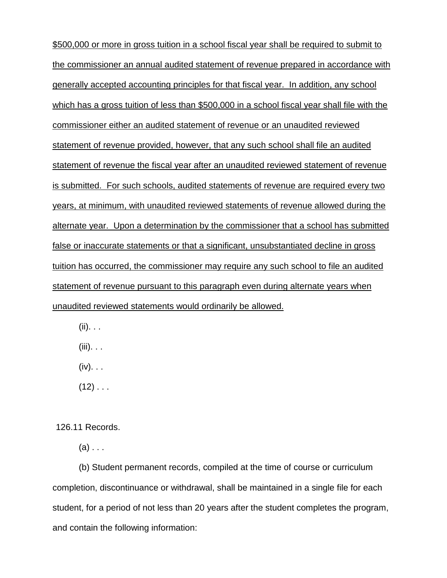\$500,000 or more in gross tuition in a school fiscal year shall be required to submit to the commissioner an annual audited statement of revenue prepared in accordance with generally accepted accounting principles for that fiscal year. In addition, any school which has a gross tuition of less than \$500,000 in a school fiscal year shall file with the commissioner either an audited statement of revenue or an unaudited reviewed statement of revenue provided, however, that any such school shall file an audited statement of revenue the fiscal year after an unaudited reviewed statement of revenue is submitted. For such schools, audited statements of revenue are required every two years, at minimum, with unaudited reviewed statements of revenue allowed during the alternate year. Upon a determination by the commissioner that a school has submitted false or inaccurate statements or that a significant, unsubstantiated decline in gross tuition has occurred, the commissioner may require any such school to file an audited statement of revenue pursuant to this paragraph even during alternate years when unaudited reviewed statements would ordinarily be allowed.

 $(ii). \ldots$ 

(iii). . .

 $(iv)$ . . .

 $(12)$  . . .

126.11 Records.

 $(a)$ ...

(b) Student permanent records, compiled at the time of course or curriculum completion, discontinuance or withdrawal, shall be maintained in a single file for each student, for a period of not less than 20 years after the student completes the program, and contain the following information: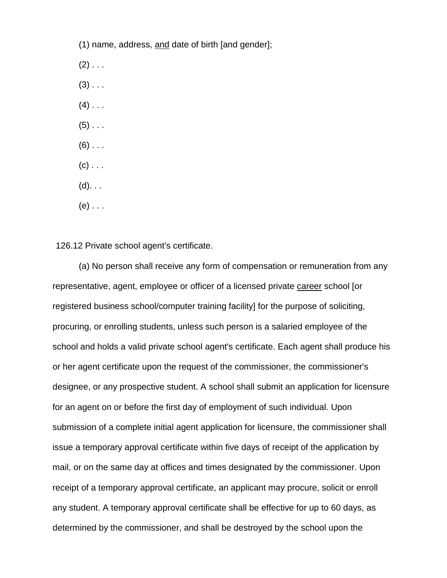(1) name, address, and date of birth [and gender];

 $(2)$  . . .

- $(3)$  . . .
- $(4)$  . . .
- $(5)$  . . .
- $(6)$  . . .
- $(c)$  . . .
- $(d)$ . . .
- $(e)$  . . .

126.12 Private school agent's certificate.

(a) No person shall receive any form of compensation or remuneration from any representative, agent, employee or officer of a licensed private career school [or registered business school/computer training facility] for the purpose of soliciting, procuring, or enrolling students, unless such person is a salaried employee of the school and holds a valid private school agent's certificate. Each agent shall produce his or her agent certificate upon the request of the commissioner, the commissioner's designee, or any prospective student. A school shall submit an application for licensure for an agent on or before the first day of employment of such individual. Upon submission of a complete initial agent application for licensure, the commissioner shall issue a temporary approval certificate within five days of receipt of the application by mail, or on the same day at offices and times designated by the commissioner. Upon receipt of a temporary approval certificate, an applicant may procure, solicit or enroll any student. A temporary approval certificate shall be effective for up to 60 days, as determined by the commissioner, and shall be destroyed by the school upon the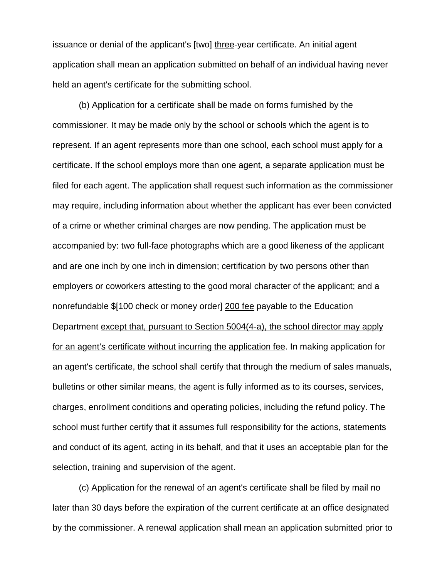issuance or denial of the applicant's [two] three-year certificate. An initial agent application shall mean an application submitted on behalf of an individual having never held an agent's certificate for the submitting school.

(b) Application for a certificate shall be made on forms furnished by the commissioner. It may be made only by the school or schools which the agent is to represent. If an agent represents more than one school, each school must apply for a certificate. If the school employs more than one agent, a separate application must be filed for each agent. The application shall request such information as the commissioner may require, including information about whether the applicant has ever been convicted of a crime or whether criminal charges are now pending. The application must be accompanied by: two full-face photographs which are a good likeness of the applicant and are one inch by one inch in dimension; certification by two persons other than employers or coworkers attesting to the good moral character of the applicant; and a nonrefundable \$[100 check or money order] 200 fee payable to the Education Department except that, pursuant to Section 5004(4-a), the school director may apply for an agent's certificate without incurring the application fee. In making application for an agent's certificate, the school shall certify that through the medium of sales manuals, bulletins or other similar means, the agent is fully informed as to its courses, services, charges, enrollment conditions and operating policies, including the refund policy. The school must further certify that it assumes full responsibility for the actions, statements and conduct of its agent, acting in its behalf, and that it uses an acceptable plan for the selection, training and supervision of the agent.

(c) Application for the renewal of an agent's certificate shall be filed by mail no later than 30 days before the expiration of the current certificate at an office designated by the commissioner. A renewal application shall mean an application submitted prior to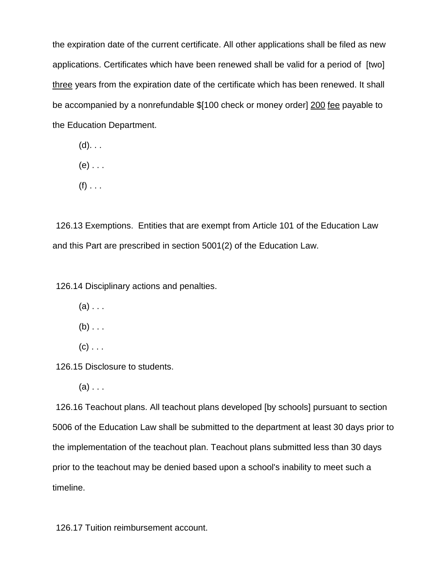the expiration date of the current certificate. All other applications shall be filed as new applications. Certificates which have been renewed shall be valid for a period of [two] three years from the expiration date of the certificate which has been renewed. It shall be accompanied by a nonrefundable \$[100 check or money order] 200 fee payable to the Education Department.

- $(d)$ . . .
- $(e)$  . . .
- $(f)$  . . .

126.13 Exemptions. Entities that are exempt from Article 101 of the Education Law and this Part are prescribed in section 5001(2) of the Education Law.

126.14 Disciplinary actions and penalties.

- $(a)$ ...
- $(b)$  . . .
- $(c)$  . . .

126.15 Disclosure to students.

 $(a)$ ...

126.16 Teachout plans. All teachout plans developed [by schools] pursuant to section 5006 of the Education Law shall be submitted to the department at least 30 days prior to the implementation of the teachout plan. Teachout plans submitted less than 30 days prior to the teachout may be denied based upon a school's inability to meet such a timeline.

126.17 Tuition reimbursement account.